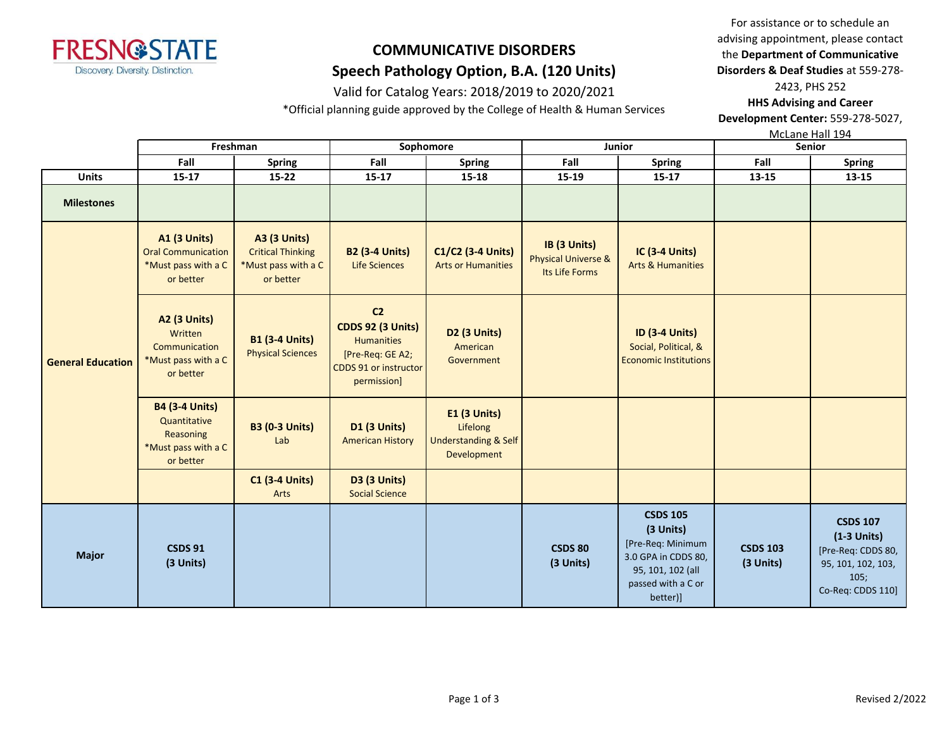

### Valid for Catalog Years: 2018/2019 to 2020/2021

\*Official planning guide approved by the College of Health & Human Services

For assistance or to schedule an advising appointment, please contact the **Department of Communicative Disorders & Deaf Studies** at 559-278- 2423, PHS 252

**HHS Advising and Career Development Center:** 559-278-5027,

McLane Hall 194

|                          | Freshman                                                                               |                                                                                     | Sophomore                                                                                                                   |                                                                            |                                                       | Junior                                                                                                                          | <b>Senior</b>                |                                                                                                           |  |
|--------------------------|----------------------------------------------------------------------------------------|-------------------------------------------------------------------------------------|-----------------------------------------------------------------------------------------------------------------------------|----------------------------------------------------------------------------|-------------------------------------------------------|---------------------------------------------------------------------------------------------------------------------------------|------------------------------|-----------------------------------------------------------------------------------------------------------|--|
|                          | Fall                                                                                   | <b>Spring</b>                                                                       | Fall                                                                                                                        | <b>Spring</b>                                                              | Fall                                                  | <b>Spring</b>                                                                                                                   | Fall                         | <b>Spring</b>                                                                                             |  |
| <b>Units</b>             | 15-17                                                                                  | $15 - 22$                                                                           | 15-17                                                                                                                       | 15-18                                                                      | 15-19                                                 | 15-17                                                                                                                           | 13-15                        | 13-15                                                                                                     |  |
| <b>Milestones</b>        |                                                                                        |                                                                                     |                                                                                                                             |                                                                            |                                                       |                                                                                                                                 |                              |                                                                                                           |  |
|                          | <b>A1 (3 Units)</b><br><b>Oral Communication</b><br>*Must pass with a C<br>or better   | <b>A3 (3 Units)</b><br><b>Critical Thinking</b><br>*Must pass with a C<br>or better | <b>B2 (3-4 Units)</b><br><b>Life Sciences</b>                                                                               | C1/C2 (3-4 Units)<br><b>Arts or Humanities</b>                             | IB (3 Units)<br>Physical Universe &<br>Its Life Forms | <b>IC (3-4 Units)</b><br><b>Arts &amp; Humanities</b>                                                                           |                              |                                                                                                           |  |
| <b>General Education</b> | <b>A2 (3 Units)</b><br>Written<br>Communication<br>*Must pass with a C<br>or better    | <b>B1 (3-4 Units)</b><br><b>Physical Sciences</b>                                   | C <sub>2</sub><br><b>CDDS 92 (3 Units)</b><br><b>Humanities</b><br>[Pre-Req: GE A2;<br>CDDS 91 or instructor<br>permission] | D <sub>2</sub> (3 Units)<br>American<br>Government                         |                                                       | <b>ID (3-4 Units)</b><br>Social, Political, &<br><b>Economic Institutions</b>                                                   |                              |                                                                                                           |  |
|                          | <b>B4 (3-4 Units)</b><br>Quantitative<br>Reasoning<br>*Must pass with a C<br>or better | <b>B3 (0-3 Units)</b><br>Lab                                                        | <b>D1 (3 Units)</b><br><b>American History</b>                                                                              | E1 (3 Units)<br>Lifelong<br><b>Understanding &amp; Self</b><br>Development |                                                       |                                                                                                                                 |                              |                                                                                                           |  |
|                          |                                                                                        | <b>C1 (3-4 Units)</b><br>Arts                                                       | <b>D3 (3 Units)</b><br><b>Social Science</b>                                                                                |                                                                            |                                                       |                                                                                                                                 |                              |                                                                                                           |  |
| <b>Major</b>             | <b>CSDS 91</b><br>(3 Units)                                                            |                                                                                     |                                                                                                                             |                                                                            | <b>CSDS 80</b><br>(3 Units)                           | <b>CSDS 105</b><br>(3 Units)<br>[Pre-Req: Minimum<br>3.0 GPA in CDDS 80,<br>95, 101, 102 (all<br>passed with a C or<br>better)] | <b>CSDS 103</b><br>(3 Units) | <b>CSDS 107</b><br>$(1-3$ Units)<br>[Pre-Req: CDDS 80,<br>95, 101, 102, 103,<br>105;<br>Co-Req: CDDS 110] |  |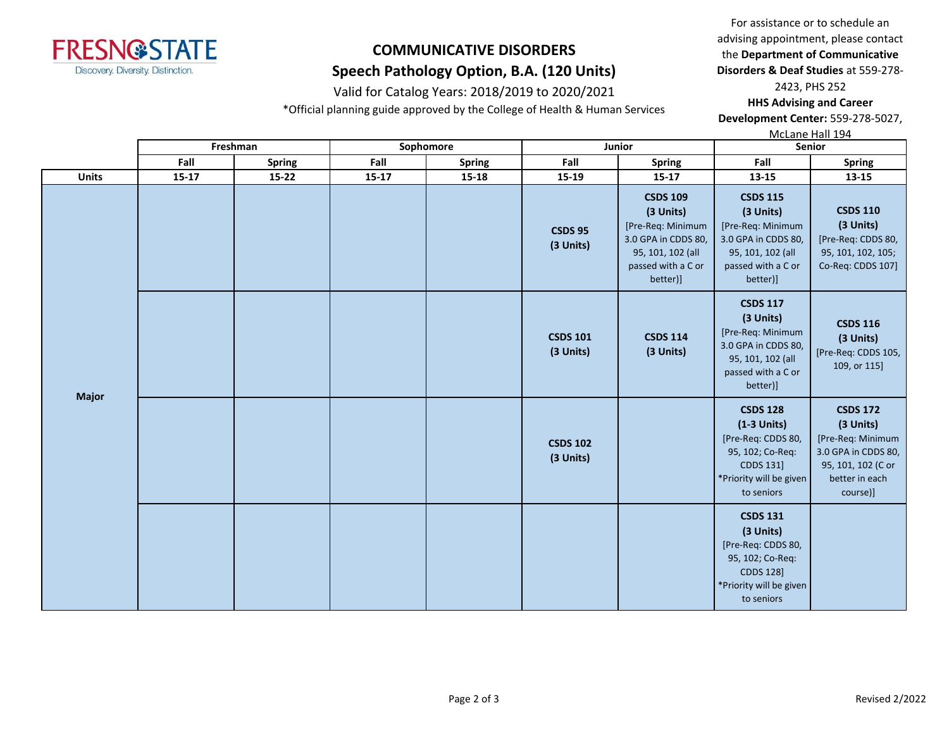

### Valid for Catalog Years: 2018/2019 to 2020/2021

\*Official planning guide approved by the College of Health & Human Services

For assistance or to schedule an advising appointment, please contact the **Department of Communicative Disorders & Deaf Studies** at 559-278-

2423, PHS 252 **HHS Advising and Career Development Center:** 559-278-5027,

McLane Hall 194

|              |       | Freshman      |       | Sophomore     | Junior                       |                                                                                                                                 | Senior                                                                                                                           |                                                                                                                              |
|--------------|-------|---------------|-------|---------------|------------------------------|---------------------------------------------------------------------------------------------------------------------------------|----------------------------------------------------------------------------------------------------------------------------------|------------------------------------------------------------------------------------------------------------------------------|
|              | Fall  | <b>Spring</b> | Fall  | <b>Spring</b> | Fall                         | <b>Spring</b>                                                                                                                   | Fall                                                                                                                             | <b>Spring</b>                                                                                                                |
| <b>Units</b> | 15-17 | 15-22         | 15-17 | 15-18         | 15-19                        | 15-17                                                                                                                           | 13-15                                                                                                                            | 13-15                                                                                                                        |
|              |       |               |       |               | <b>CSDS 95</b><br>(3 Units)  | <b>CSDS 109</b><br>(3 Units)<br>[Pre-Req: Minimum<br>3.0 GPA in CDDS 80,<br>95, 101, 102 (all<br>passed with a C or<br>better)] | <b>CSDS 115</b><br>(3 Units)<br>[Pre-Req: Minimum<br>3.0 GPA in CDDS 80,<br>95, 101, 102 (all<br>passed with a C or<br>better)]  | <b>CSDS 110</b><br>(3 Units)<br>[Pre-Req: CDDS 80,<br>95, 101, 102, 105;<br>Co-Req: CDDS 107]                                |
|              |       |               |       |               | <b>CSDS 101</b><br>(3 Units) | <b>CSDS 114</b><br>(3 Units)                                                                                                    | <b>CSDS 117</b><br>(3 Units)<br>[Pre-Req: Minimum<br>3.0 GPA in CDDS 80,<br>95, 101, 102 (all<br>passed with a C or<br>better)]  | <b>CSDS 116</b><br>(3 Units)<br>[Pre-Req: CDDS 105,<br>109, or 115]                                                          |
| <b>Major</b> |       |               |       |               | <b>CSDS 102</b><br>(3 Units) |                                                                                                                                 | <b>CSDS 128</b><br>$(1-3$ Units)<br>[Pre-Req: CDDS 80,<br>95, 102; Co-Req:<br>CDDS 131]<br>*Priority will be given<br>to seniors | <b>CSDS 172</b><br>(3 Units)<br>[Pre-Req: Minimum<br>3.0 GPA in CDDS 80,<br>95, 101, 102 (C or<br>better in each<br>course)] |
|              |       |               |       |               |                              |                                                                                                                                 | <b>CSDS 131</b><br>(3 Units)<br>[Pre-Req: CDDS 80,<br>95, 102; Co-Req:<br>CDDS 128]<br>*Priority will be given<br>to seniors     |                                                                                                                              |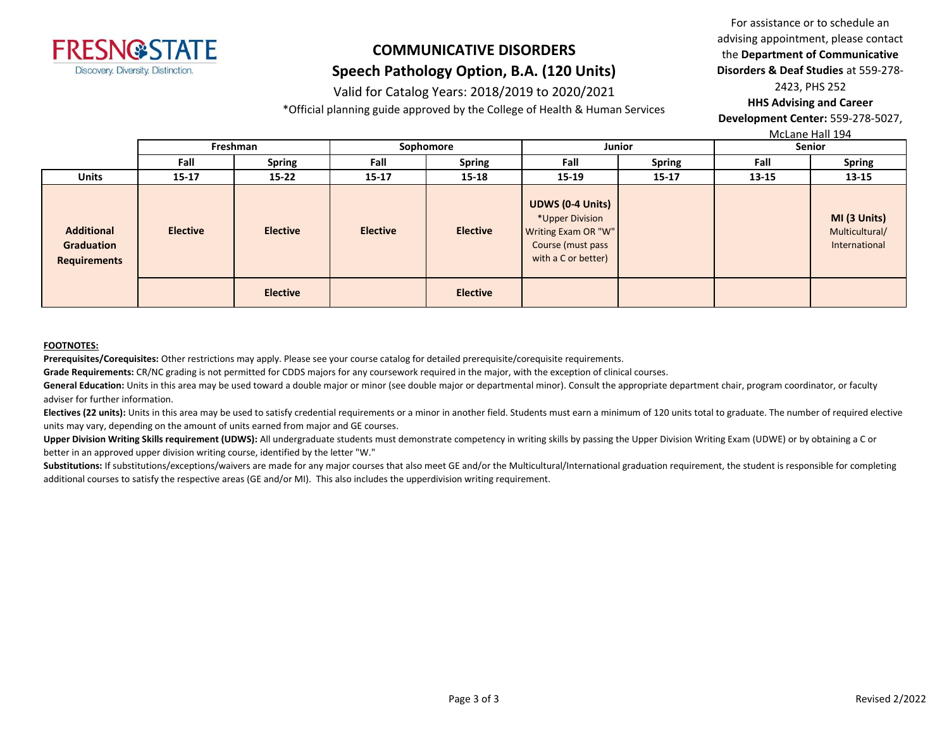

#### Valid for Catalog Years: 2018/2019 to 2020/2021

\*Official planning guide approved by the College of Health & Human Services

For assistance or to schedule an advising appointment, please contact the **Department of Communicative Disorders & Deaf Studies** at 559-278- 2423, PHS 252 **HHS Advising and Career** 

**Development Center:** 559-278-5027,

McLane Hall 194

|                                                        | Freshman        |                 | Sophomore       |                 | Junior                                                                                                        |               | Senior |                                                 |
|--------------------------------------------------------|-----------------|-----------------|-----------------|-----------------|---------------------------------------------------------------------------------------------------------------|---------------|--------|-------------------------------------------------|
|                                                        | Fall            | <b>Spring</b>   | Fall            | <b>Spring</b>   | Fall                                                                                                          | <b>Spring</b> | Fall   | <b>Spring</b>                                   |
| <b>Units</b>                                           | $15 - 17$       | $15 - 22$       | $15 - 17$       | $15 - 18$       | $15 - 19$                                                                                                     | $15 - 17$     | 13-15  | 13-15                                           |
| <b>Additional</b><br>Graduation<br><b>Requirements</b> | <b>Elective</b> | <b>Elective</b> | <b>Elective</b> | <b>Elective</b> | <b>UDWS (0-4 Units)</b><br>*Upper Division<br>Writing Exam OR "W"<br>Course (must pass<br>with a C or better) |               |        | MI (3 Units)<br>Multicultural/<br>International |
|                                                        |                 | <b>Elective</b> |                 | <b>Elective</b> |                                                                                                               |               |        |                                                 |

#### **FOOTNOTES:**

**Prerequisites/Corequisites:** Other restrictions may apply. Please see your course catalog for detailed prerequisite/corequisite requirements.

**Grade Requirements:** CR/NC grading is not permitted for CDDS majors for any coursework required in the major, with the exception of clinical courses.

General Education: Units in this area may be used toward a double major or minor (see double major or departmental minor). Consult the appropriate department chair, program coordinator, or faculty adviser for further information.

Electives (22 units): Units in this area may be used to satisfy credential requirements or a minor in another field. Students must earn a minimum of 120 units total to graduate. The number of required elective units may vary, depending on the amount of units earned from major and GE courses.

Upper Division Writing Skills requirement (UDWS): All undergraduate students must demonstrate competency in writing skills by passing the Upper Division Writing Exam (UDWE) or by obtaining a C or better in an approved upper division writing course, identified by the letter "W."

Substitutions: If substitutions/exceptions/waivers are made for any major courses that also meet GE and/or the Multicultural/International graduation requirement, the student is responsible for completing additional courses to satisfy the respective areas (GE and/or MI). This also includes the upperdivision writing requirement.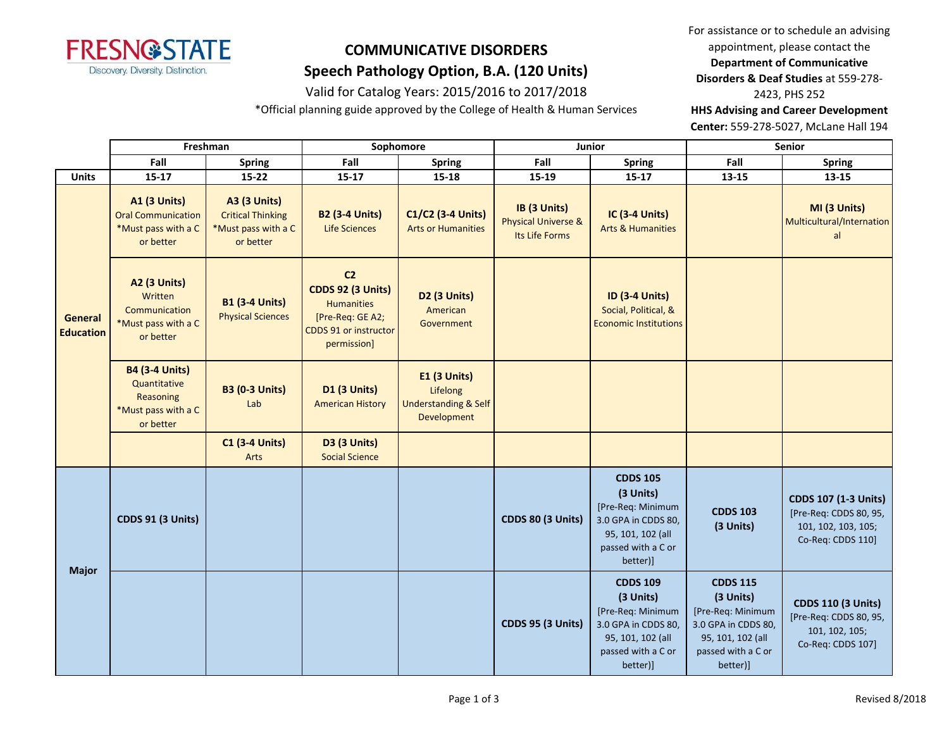

#### Valid for Catalog Years: 2015/2016 to 2017/2018

\*Official planning guide approved by the College of Health & Human Services

For assistance or to schedule an advising appointment, please contact the **Department of Communicative Disorders & Deaf Studies** at 559-278- 2423, PHS 252 **HHS Advising and Career Development** 

**Center:** 559-278-5027, McLane Hall 194

|                             |                                                                              | Freshman                                                                               |                                                                                                                             | Sophomore                                      |                                                                            | Junior                                                                                                                          |                                                                                                                                 | Senior                                                                                                                          |                                                                                            |
|-----------------------------|------------------------------------------------------------------------------|----------------------------------------------------------------------------------------|-----------------------------------------------------------------------------------------------------------------------------|------------------------------------------------|----------------------------------------------------------------------------|---------------------------------------------------------------------------------------------------------------------------------|---------------------------------------------------------------------------------------------------------------------------------|---------------------------------------------------------------------------------------------------------------------------------|--------------------------------------------------------------------------------------------|
|                             |                                                                              | Fall                                                                                   | <b>Spring</b>                                                                                                               | Fall                                           | <b>Spring</b>                                                              | Fall                                                                                                                            | <b>Spring</b>                                                                                                                   | Fall                                                                                                                            | <b>Spring</b>                                                                              |
|                             | <b>Units</b>                                                                 | $15 - 17$                                                                              | $15 - 22$                                                                                                                   | $15 - 17$                                      | $15 - 18$                                                                  | 15-19                                                                                                                           | $15 - 17$                                                                                                                       | 13-15                                                                                                                           | 13-15                                                                                      |
| General<br><b>Education</b> |                                                                              | <b>A1 (3 Units)</b><br><b>Oral Communication</b><br>*Must pass with a C<br>or better   | <b>A3 (3 Units)</b><br><b>Critical Thinking</b><br>*Must pass with a C<br>or better                                         | <b>B2 (3-4 Units)</b><br><b>Life Sciences</b>  | C1/C2 (3-4 Units)<br><b>Arts or Humanities</b>                             | IB (3 Units)<br><b>Physical Universe &amp;</b><br>Its Life Forms                                                                | IC (3-4 Units)<br><b>Arts &amp; Humanities</b>                                                                                  |                                                                                                                                 | MI (3 Units)<br>Multicultural/Internation<br>al                                            |
|                             | A2 (3 Units)<br>Written<br>Communication<br>*Must pass with a C<br>or better | <b>B1 (3-4 Units)</b><br><b>Physical Sciences</b>                                      | C <sub>2</sub><br><b>CDDS 92 (3 Units)</b><br><b>Humanities</b><br>[Pre-Req: GE A2;<br>CDDS 91 or instructor<br>permission] | D2 (3 Units)<br>American<br>Government         |                                                                            | <b>ID (3-4 Units)</b><br>Social, Political, &<br><b>Economic Institutions</b>                                                   |                                                                                                                                 |                                                                                                                                 |                                                                                            |
|                             |                                                                              | <b>B4 (3-4 Units)</b><br>Quantitative<br>Reasoning<br>*Must pass with a C<br>or better | <b>B3 (0-3 Units)</b><br>Lab                                                                                                | <b>D1 (3 Units)</b><br><b>American History</b> | E1 (3 Units)<br>Lifelong<br><b>Understanding &amp; Self</b><br>Development |                                                                                                                                 |                                                                                                                                 |                                                                                                                                 |                                                                                            |
|                             |                                                                              |                                                                                        | <b>C1 (3-4 Units)</b><br>Arts                                                                                               | <b>D3 (3 Units)</b><br><b>Social Science</b>   |                                                                            |                                                                                                                                 |                                                                                                                                 |                                                                                                                                 |                                                                                            |
|                             | <b>CDDS 91 (3 Units)</b>                                                     |                                                                                        |                                                                                                                             |                                                | <b>CDDS 80 (3 Units)</b>                                                   | <b>CDDS 105</b><br>(3 Units)<br>[Pre-Req: Minimum<br>3.0 GPA in CDDS 80,<br>95, 101, 102 (all<br>passed with a C or<br>better)] | <b>CDDS 103</b><br>(3 Units)                                                                                                    | <b>CDDS 107 (1-3 Units)</b><br>[Pre-Req: CDDS 80, 95,<br>101, 102, 103, 105;<br>Co-Req: CDDS 110]                               |                                                                                            |
|                             | <b>Major</b>                                                                 |                                                                                        |                                                                                                                             |                                                |                                                                            | CDDS 95 (3 Units)                                                                                                               | <b>CDDS 109</b><br>(3 Units)<br>[Pre-Req: Minimum<br>3.0 GPA in CDDS 80,<br>95, 101, 102 (all<br>passed with a C or<br>better)] | <b>CDDS 115</b><br>(3 Units)<br>[Pre-Req: Minimum<br>3.0 GPA in CDDS 80,<br>95, 101, 102 (all<br>passed with a C or<br>better)] | <b>CDDS 110 (3 Units)</b><br>[Pre-Req: CDDS 80, 95,<br>101, 102, 105;<br>Co-Req: CDDS 107] |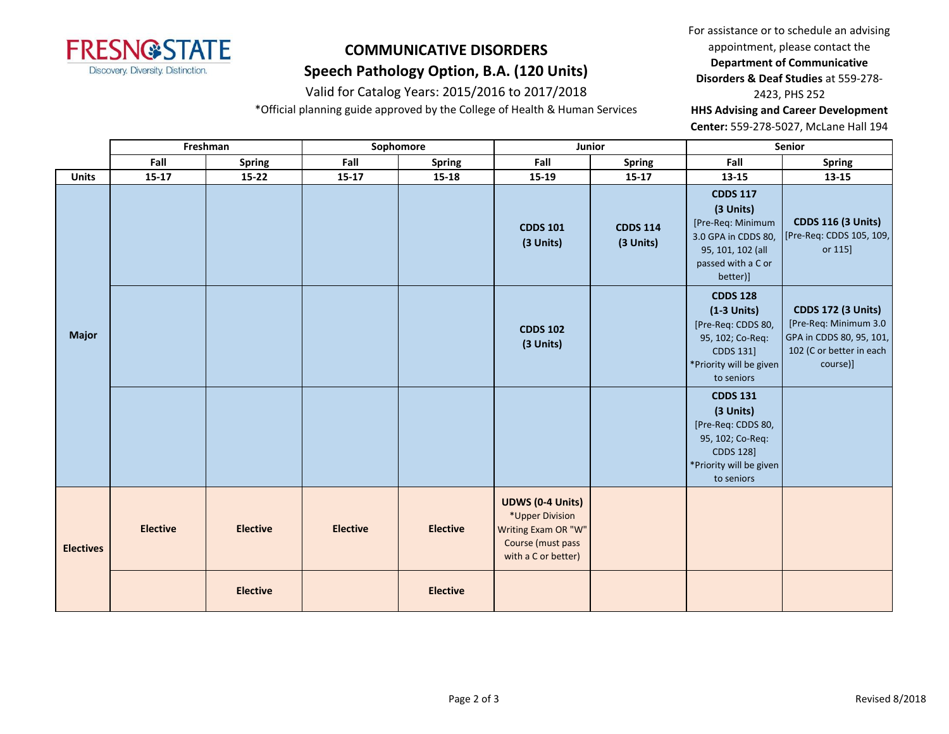

#### Valid for Catalog Years: 2015/2016 to 2017/2018

\*Official planning guide approved by the College of Health & Human Services

For assistance or to schedule an advising appointment, please contact the **Department of Communicative Disorders & Deaf Studies** at 559-278- 2423, PHS 252

**HHS Advising and Career Development** 

**Center:** 559-278-5027, McLane Hall 194

|                  | Freshman        |                 |                 | Sophomore       | Junior                                                                                                        |                              | Senior                                                                                                                              |                                                                                                                        |
|------------------|-----------------|-----------------|-----------------|-----------------|---------------------------------------------------------------------------------------------------------------|------------------------------|-------------------------------------------------------------------------------------------------------------------------------------|------------------------------------------------------------------------------------------------------------------------|
|                  | Fall            | <b>Spring</b>   | Fall            | <b>Spring</b>   | Fall                                                                                                          | <b>Spring</b>                | Fall                                                                                                                                | <b>Spring</b>                                                                                                          |
| <b>Units</b>     | $15 - 17$       | $15-22$         | $15 - 17$       | $15 - 18$       | 15-19                                                                                                         | $15 - 17$                    | $13 - 15$                                                                                                                           | $13 - 15$                                                                                                              |
|                  |                 |                 |                 |                 | <b>CDDS 101</b><br>(3 Units)                                                                                  | <b>CDDS 114</b><br>(3 Units) | <b>CDDS 117</b><br>(3 Units)<br>[Pre-Req: Minimum<br>3.0 GPA in CDDS 80,<br>95, 101, 102 (all<br>passed with a C or<br>better)]     | <b>CDDS 116 (3 Units)</b><br>[Pre-Req: CDDS 105, 109,<br>or 115]                                                       |
| <b>Major</b>     |                 |                 |                 |                 | <b>CDDS 102</b><br>(3 Units)                                                                                  |                              | <b>CDDS 128</b><br>$(1-3$ Units)<br>[Pre-Req: CDDS 80,<br>95, 102; Co-Req:<br>CDDS 131]<br>*Priority will be given<br>to seniors    | <b>CDDS 172 (3 Units)</b><br>[Pre-Req: Minimum 3.0<br>GPA in CDDS 80, 95, 101,<br>102 (C or better in each<br>course)] |
|                  |                 |                 |                 |                 |                                                                                                               |                              | <b>CDDS 131</b><br>(3 Units)<br>[Pre-Req: CDDS 80,<br>95, 102; Co-Req:<br><b>CDDS 128]</b><br>*Priority will be given<br>to seniors |                                                                                                                        |
| <b>Electives</b> | <b>Elective</b> | <b>Elective</b> | <b>Elective</b> | <b>Elective</b> | <b>UDWS (0-4 Units)</b><br>*Upper Division<br>Writing Exam OR "W"<br>Course (must pass<br>with a C or better) |                              |                                                                                                                                     |                                                                                                                        |
|                  |                 | <b>Elective</b> |                 | <b>Elective</b> |                                                                                                               |                              |                                                                                                                                     |                                                                                                                        |